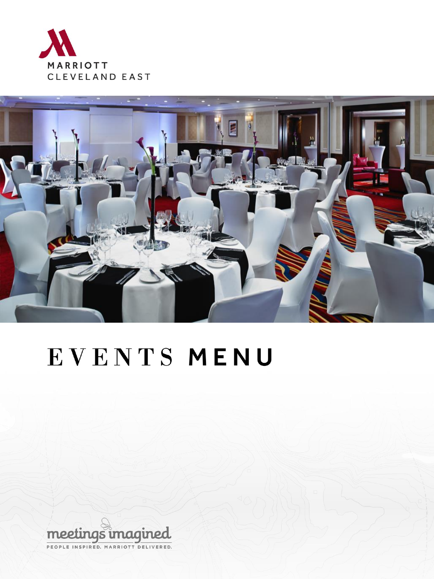



# EVENTS MENU

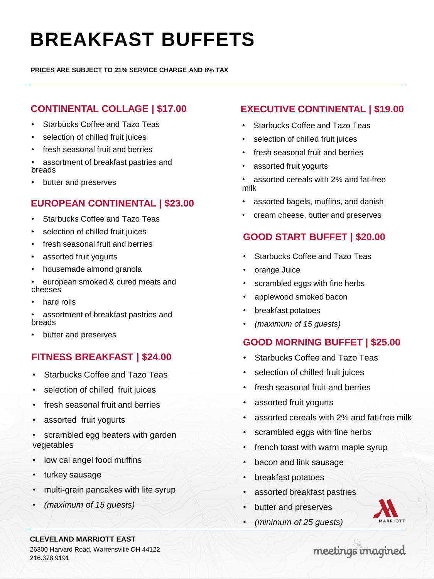# **BREAKFAST BUFFETS**

**PRICES ARE SUBJECT TO 21% SERVICE CHARGE AND 8% TAX**

### **CONTINENTAL COLLAGE | \$17.00**

- Starbucks Coffee and Tazo Teas
- selection of chilled fruit juices
- fresh seasonal fruit and berries
- assortment of breakfast pastries and breads
- butter and preserves

### **EUROPEAN CONTINENTAL | \$23.00**

- Starbucks Coffee and Tazo Teas
- selection of chilled fruit juices
- fresh seasonal fruit and berries
- assorted fruit yogurts
- housemade almond granola
- european smoked & cured meats and cheeses
- hard rolls

• assortment of breakfast pastries and breads

• butter and preserves

#### **FITNESS BREAKFAST | \$24.00**

- Starbucks Coffee and Tazo Teas
- selection of chilled fruit juices
- fresh seasonal fruit and berries
- assorted fruit yogurts
- scrambled egg beaters with garden vegetables
- low cal angel food muffins
- turkey sausage
- multi-grain pancakes with lite syrup
- *(maximum of 15 guests)*

### **EXECUTIVE CONTINENTAL | \$19.00**

- Starbucks Coffee and Tazo Teas
- selection of chilled fruit juices
- fresh seasonal fruit and berries
- assorted fruit vogurts
- assorted cereals with 2% and fat-free milk
- assorted bagels, muffins, and danish
- cream cheese, butter and preserves

#### **GOOD START BUFFET | \$20.00**

- Starbucks Coffee and Tazo Teas
- orange Juice
- scrambled eggs with fine herbs
- applewood smoked bacon
- breakfast potatoes
- *(maximum of 15 guests)*

#### **GOOD MORNING BUFFET | \$25.00**

- Starbucks Coffee and Tazo Teas
- selection of chilled fruit juices
- fresh seasonal fruit and berries
- assorted fruit yogurts
- assorted cereals with 2% and fat-free milk
- scrambled eggs with fine herbs
- french toast with warm maple syrup
- bacon and link sausage
- breakfast potatoes
- assorted breakfast pastries
- butter and preserves
- *(minimum of 25 guests)*



#### **CLEVELAND MARRIOTT EAST**

26300 Harvard Road, Warrensville OH 44122 216.378.9191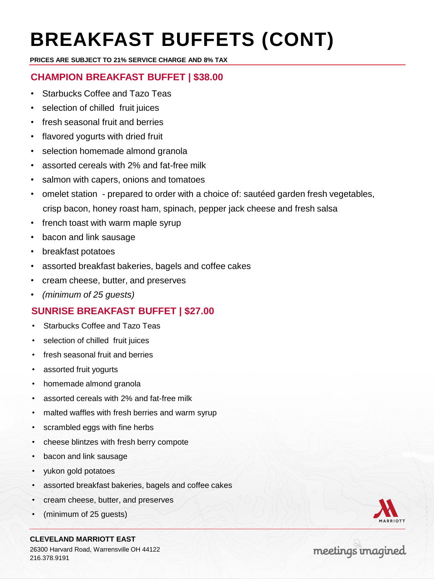# **BREAKFAST BUFFETS (CONT)**

**PRICES ARE SUBJECT TO 21% SERVICE CHARGE AND 8% TAX**

## **CHAMPION BREAKFAST BUFFET | \$38.00**

- Starbucks Coffee and Tazo Teas
- selection of chilled fruit juices
- fresh seasonal fruit and berries
- flavored yogurts with dried fruit
- selection homemade almond granola
- assorted cereals with 2% and fat-free milk
- salmon with capers, onions and tomatoes
- omelet station prepared to order with a choice of: sautéed garden fresh vegetables, crisp bacon, honey roast ham, spinach, pepper jack cheese and fresh salsa
- french toast with warm maple syrup
- bacon and link sausage
- breakfast potatoes
- assorted breakfast bakeries, bagels and coffee cakes
- cream cheese, butter, and preserves
- *(minimum of 25 guests)*

### **SUNRISE BREAKFAST BUFFET | \$27.00**

- Starbucks Coffee and Tazo Teas
- selection of chilled fruit juices
- fresh seasonal fruit and berries
- assorted fruit yogurts
- homemade almond granola
- assorted cereals with 2% and fat-free milk
- malted waffles with fresh berries and warm syrup
- scrambled eggs with fine herbs
- cheese blintzes with fresh berry compote
- bacon and link sausage
- yukon gold potatoes
- assorted breakfast bakeries, bagels and coffee cakes
- cream cheese, butter, and preserves
- (minimum of 25 guests)

**CLEVELAND MARRIOTT EAST** 26300 Harvard Road, Warrensville OH 44122 216.378.9191

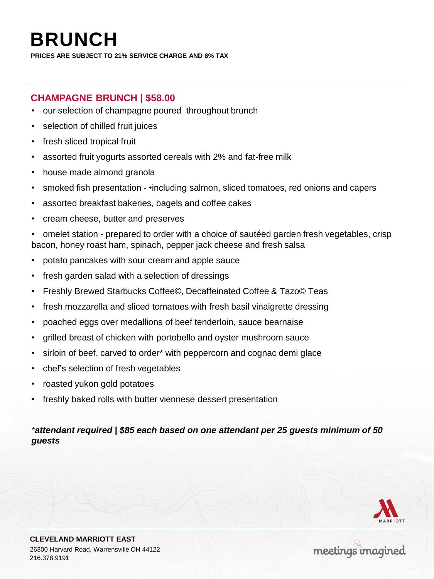## **BRUNCH**

**PRICES ARE SUBJECT TO 21% SERVICE CHARGE AND 8% TAX**

#### **CHAMPAGNE BRUNCH | \$58.00**

- our selection of champagne poured throughout brunch
- selection of chilled fruit juices
- fresh sliced tropical fruit
- assorted fruit yogurts assorted cereals with 2% and fat-free milk
- house made almond granola
- smoked fish presentation •including salmon, sliced tomatoes, red onions and capers
- assorted breakfast bakeries, bagels and coffee cakes
- cream cheese, butter and preserves

• omelet station - prepared to order with a choice of sautéed garden fresh vegetables, crisp bacon, honey roast ham, spinach, pepper jack cheese and fresh salsa

- potato pancakes with sour cream and apple sauce
- fresh garden salad with a selection of dressings
- Freshly Brewed Starbucks Coffee©, Decaffeinated Coffee & Tazo© Teas
- fresh mozzarella and sliced tomatoes with fresh basil vinaigrette dressing
- poached eggs over medallions of beef tenderloin, sauce bearnaise
- grilled breast of chicken with portobello and oyster mushroom sauce
- sirloin of beef, carved to order\* with peppercorn and cognac demi glace
- chef's selection of fresh vegetables
- roasted yukon gold potatoes
- freshly baked rolls with butter viennese dessert presentation

#### *\*attendant required | \$85 each based on one attendant per 25 guests minimum of 50 guests*

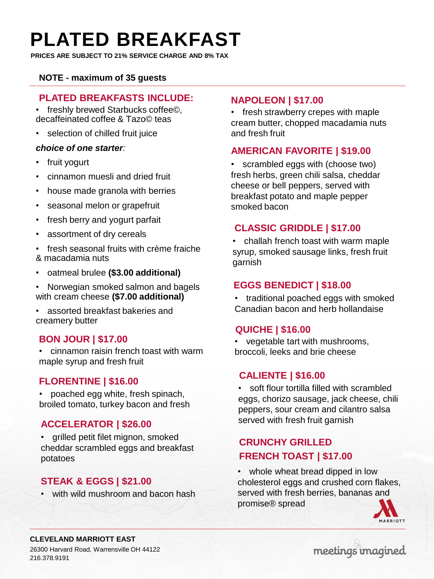## **PLATED BREAKFAST**

**PRICES ARE SUBJECT TO 21% SERVICE CHARGE AND 8% TAX**

#### **NOTE - maximum of 35 guests**

#### **PLATED BREAKFASTS INCLUDE:**

• freshly brewed Starbucks coffee©, decaffeinated coffee & Tazo© teas

• selection of chilled fruit juice

#### *choice of one starter:*

- fruit yogurt
- cinnamon muesli and dried fruit
- house made granola with berries
- seasonal melon or grapefruit
- fresh berry and yogurt parfait
- assortment of dry cereals
- fresh seasonal fruits with crème fraiche & macadamia nuts
- oatmeal brulee **(\$3.00 additional)**
- Norwegian smoked salmon and bagels with cream cheese **(\$7.00 additional)**
- assorted breakfast bakeries and creamery butter

#### **BON JOUR | \$17.00**

• cinnamon raisin french toast with warm maple syrup and fresh fruit

#### **FLORENTINE | \$16.00**

• poached egg white, fresh spinach, broiled tomato, turkey bacon and fresh

#### **ACCELERATOR | \$26.00**

• grilled petit filet mignon, smoked cheddar scrambled eggs and breakfast potatoes

#### **STEAK & EGGS | \$21.00**

• with wild mushroom and bacon hash

#### **NAPOLEON | \$17.00**

• fresh strawberry crepes with maple cream butter, chopped macadamia nuts and fresh fruit

#### **AMERICAN FAVORITE | \$19.00**

• scrambled eggs with (choose two) fresh herbs, green chili salsa, cheddar cheese or bell peppers, served with breakfast potato and maple pepper smoked bacon

#### **CLASSIC GRIDDLE | \$17.00**

• challah french toast with warm maple syrup, smoked sausage links, fresh fruit garnish

#### **EGGS BENEDICT | \$18.00**

• traditional poached eggs with smoked Canadian bacon and herb hollandaise

#### **QUICHE | \$16.00**

• vegetable tart with mushrooms, broccoli, leeks and brie cheese

#### **CALIENTE | \$16.00**

• soft flour tortilla filled with scrambled eggs, chorizo sausage, jack cheese, chili peppers, sour cream and cilantro salsa served with fresh fruit garnish

## **CRUNCHY GRILLED FRENCH TOAST | \$17.00**

• whole wheat bread dipped in low cholesterol eggs and crushed corn flakes, served with fresh berries, bananas and promise® spread



#### **CLEVELAND MARRIOTT EAST** 26300 Harvard Road, Warrensville OH 44122

216.378.9191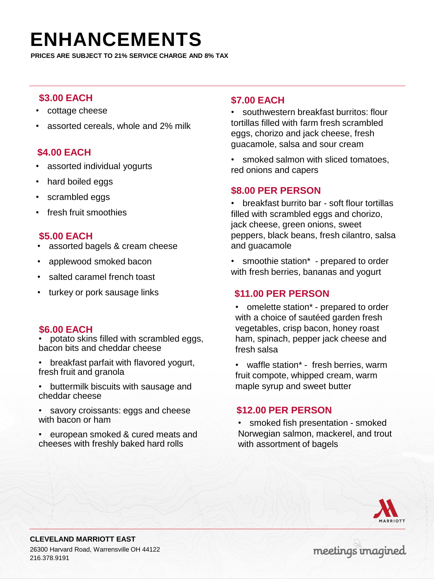## **ENHANCEMENTS**

**PRICES ARE SUBJECT TO 21% SERVICE CHARGE AND 8% TAX**

#### **\$3.00 EACH**

- cottage cheese
- assorted cereals, whole and 2% milk

#### **\$4.00 EACH**

- assorted individual yogurts
- hard boiled eggs
- scrambled eggs
- fresh fruit smoothies

#### **\$5.00 EACH**

- assorted bagels & cream cheese
- applewood smoked bacon
- salted caramel french toast
- turkey or pork sausage links

#### **\$6.00 EACH**

• potato skins filled with scrambled eggs, bacon bits and cheddar cheese

- breakfast parfait with flavored yogurt, fresh fruit and granola
- buttermilk biscuits with sausage and cheddar cheese
- savory croissants: eggs and cheese with bacon or ham
- european smoked & cured meats and cheeses with freshly baked hard rolls

#### **\$7.00 EACH**

• southwestern breakfast burritos: flour tortillas filled with farm fresh scrambled eggs, chorizo and jack cheese, fresh guacamole, salsa and sour cream

smoked salmon with sliced tomatoes, red onions and capers

#### **\$8.00 PER PERSON**

• breakfast burrito bar - soft flour tortillas filled with scrambled eggs and chorizo, jack cheese, green onions, sweet peppers, black beans, fresh cilantro, salsa and guacamole

smoothie station<sup>\*</sup> - prepared to order with fresh berries, bananas and yogurt

#### **\$11.00 PER PERSON**

• omelette station\* - prepared to order with a choice of sautéed garden fresh vegetables, crisp bacon, honey roast ham, spinach, pepper jack cheese and fresh salsa

• waffle station\* - fresh berries, warm fruit compote, whipped cream, warm maple syrup and sweet butter

#### **\$12.00 PER PERSON**

• smoked fish presentation - smoked Norwegian salmon, mackerel, and trout with assortment of bagels



**CLEVELAND MARRIOTT EAST** 26300 Harvard Road, Warrensville OH 44122 216.378.9191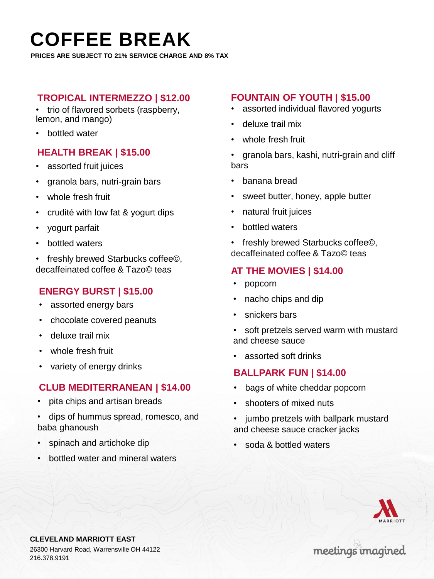## **COFFEE BREAK**

**PRICES ARE SUBJECT TO 21% SERVICE CHARGE AND 8% TAX**

#### **TROPICAL INTERMEZZO | \$12.00**

- trio of flavored sorbets (raspberry, lemon, and mango)
- bottled water

#### **HEALTH BREAK | \$15.00**

- assorted fruit juices
- granola bars, nutri-grain bars
- whole fresh fruit
- crudité with low fat & yogurt dips
- yogurt parfait
- bottled waters
- freshly brewed Starbucks coffee©, decaffeinated coffee & Tazo© teas

### **ENERGY BURST | \$15.00**

- assorted energy bars
- chocolate covered peanuts
- deluxe trail mix
- whole fresh fruit
- variety of energy drinks

#### **CLUB MEDITERRANEAN | \$14.00**

- pita chips and artisan breads
- dips of hummus spread, romesco, and baba ghanoush
- spinach and artichoke dip
- bottled water and mineral waters

#### **FOUNTAIN OF YOUTH | \$15.00**

- assorted individual flavored yogurts
- deluxe trail mix
- whole fresh fruit
- granola bars, kashi, nutri-grain and cliff bars
- banana bread
- sweet butter, honey, apple butter
- natural fruit juices
- bottled waters
- freshly brewed Starbucks coffee©, decaffeinated coffee & Tazo© teas

### **AT THE MOVIES | \$14.00**

- popcorn
- nacho chips and dip
- snickers bars
- soft pretzels served warm with mustard and cheese sauce
- assorted soft drinks

#### **BALLPARK FUN | \$14.00**

- bags of white cheddar popcorn
- shooters of mixed nuts
- jumbo pretzels with ballpark mustard and cheese sauce cracker jacks
- soda & bottled waters



**CLEVELAND MARRIOTT EAST** 26300 Harvard Road, Warrensville OH 44122 216.378.9191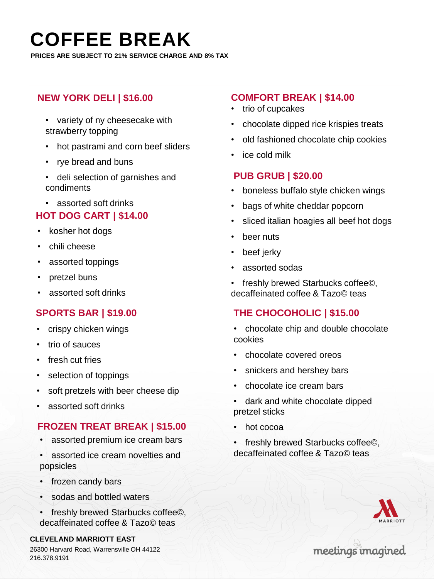## **COFFEE BREAK**

**PRICES ARE SUBJECT TO 21% SERVICE CHARGE AND 8% TAX**

### **NEW YORK DELI | \$16.00**

- variety of ny cheesecake with strawberry topping
- hot pastrami and corn beef sliders
- rye bread and buns
- deli selection of garnishes and condiments
- assorted soft drinks

#### **HOT DOG CART | \$14.00**

- kosher hot dogs
- chili cheese
- assorted toppings
- pretzel buns
- assorted soft drinks

#### **SPORTS BAR | \$19.00**

- crispy chicken wings
- trio of sauces
- fresh cut fries
- selection of toppings
- soft pretzels with beer cheese dip
- assorted soft drinks

### **FROZEN TREAT BREAK | \$15.00**

- assorted premium ice cream bars
- assorted ice cream novelties and popsicles
- frozen candy bars
- sodas and bottled waters
- freshly brewed Starbucks coffee©, decaffeinated coffee & Tazo© teas

216.378.9191

#### **COMFORT BREAK | \$14.00**

- trio of cupcakes
- chocolate dipped rice krispies treats
- old fashioned chocolate chip cookies
- ice cold milk

#### **PUB GRUB | \$20.00**

- boneless buffalo style chicken wings
- bags of white cheddar popcorn
- sliced italian hoagies all beef hot dogs
- beer nuts
- beef jerky
- assorted sodas
- freshly brewed Starbucks coffee©, decaffeinated coffee & Tazo© teas

### **THE CHOCOHOLIC | \$15.00**

- chocolate chip and double chocolate cookies
- chocolate covered oreos
- snickers and hershey bars
- chocolate ice cream bars
- dark and white chocolate dipped pretzel sticks
- hot cocoa
- freshly brewed Starbucks coffee©, decaffeinated coffee & Tazo© teas

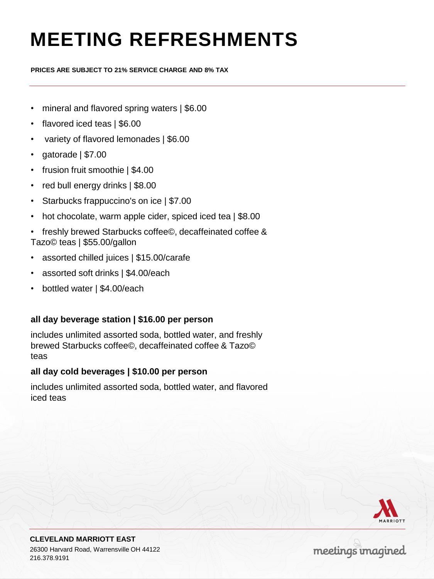# **MEETING REFRESHMENTS**

**PRICES ARE SUBJECT TO 21% SERVICE CHARGE AND 8% TAX**

- mineral and flavored spring waters | \$6.00
- flavored iced teas | \$6.00
- variety of flavored lemonades | \$6.00
- gatorade | \$7.00
- frusion fruit smoothie | \$4.00
- red bull energy drinks | \$8.00
- Starbucks frappuccino's on ice | \$7.00
- hot chocolate, warm apple cider, spiced iced tea | \$8.00
- freshly brewed Starbucks coffee©, decaffeinated coffee & Tazo© teas | \$55.00/gallon
- assorted chilled juices | \$15.00/carafe
- assorted soft drinks | \$4.00/each
- bottled water | \$4.00/each

#### **all day beverage station | \$16.00 per person**

includes unlimited assorted soda, bottled water, and freshly brewed Starbucks coffee©, decaffeinated coffee & Tazo© teas

#### **all day cold beverages | \$10.00 per person**

includes unlimited assorted soda, bottled water, and flavored iced teas

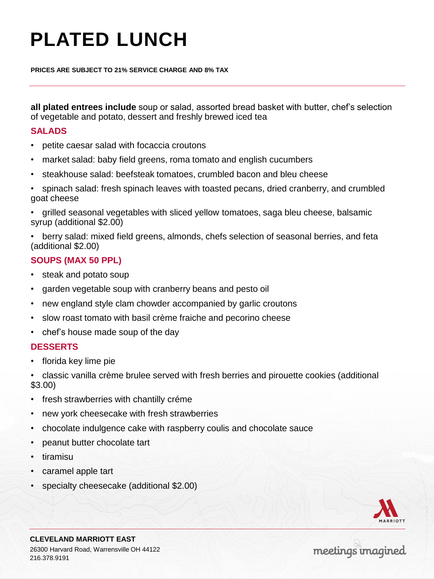# **PLATED LUNCH**

**PRICES ARE SUBJECT TO 21% SERVICE CHARGE AND 8% TAX**

**all plated entrees include** soup or salad, assorted bread basket with butter, chef's selection of vegetable and potato, dessert and freshly brewed iced tea

#### **SALADS**

- petite caesar salad with focaccia croutons
- market salad: baby field greens, roma tomato and english cucumbers
- steakhouse salad: beefsteak tomatoes, crumbled bacon and bleu cheese
- spinach salad: fresh spinach leaves with toasted pecans, dried cranberry, and crumbled goat cheese
- grilled seasonal vegetables with sliced yellow tomatoes, saga bleu cheese, balsamic syrup (additional \$2.00)
- berry salad: mixed field greens, almonds, chefs selection of seasonal berries, and feta (additional \$2.00)

#### **SOUPS (MAX 50 PPL)**

- steak and potato soup
- garden vegetable soup with cranberry beans and pesto oil
- new england style clam chowder accompanied by garlic croutons
- slow roast tomato with basil crème fraiche and pecorino cheese
- chef's house made soup of the day

#### **DESSERTS**

• florida key lime pie

• classic vanilla crème brulee served with fresh berries and pirouette cookies (additional \$3.00)

- fresh strawberries with chantilly créme
- new york cheesecake with fresh strawberries
- chocolate indulgence cake with raspberry coulis and chocolate sauce
- peanut butter chocolate tart
- tiramisu
- caramel apple tart
- specialty cheesecake (additional \$2.00)

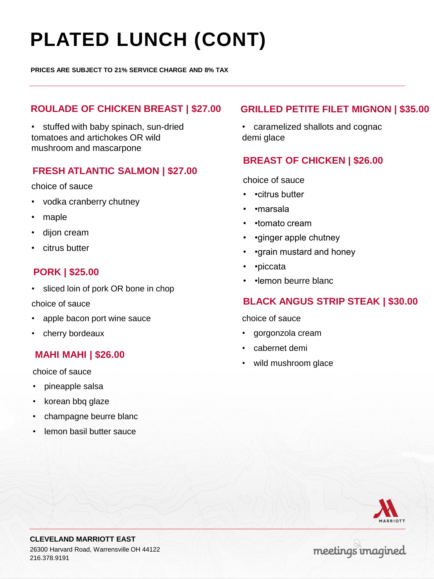# **PLATED LUNCH (CONT)**

**PRICES ARE SUBJECT TO 21% SERVICE CHARGE AND 8% TAX**

#### **ROULADE OF CHICKEN BREAST | \$27.00**

• stuffed with baby spinach, sun-dried tomatoes and artichokes OR wild mushroom and mascarpone

#### **FRESH ATLANTIC SALMON | \$27.00**

#### choice of sauce

- vodka cranberry chutney
- maple
- dijon cream
- citrus butter

#### **PORK | \$25.00**

• sliced loin of pork OR bone in chop

#### choice of sauce

- apple bacon port wine sauce
- cherry bordeaux

#### **MAHI MAHI | \$26.00**

choice of sauce

- pineapple salsa
- korean bbq glaze
- champagne beurre blanc
- lemon basil butter sauce

#### **GRILLED PETITE FILET MIGNON | \$35.00**

• caramelized shallots and cognac demi glace

#### **BREAST OF CHICKEN | \$26.00**

choice of sauce

- •citrus butter
- •marsala
- •tomato cream
- •ginger apple chutney
- • **qrain mustard and honey**
- •piccata
- •lemon beurre blanc

#### **BLACK ANGUS STRIP STEAK | \$30.00**

choice of sauce

- gorgonzola cream
- cabernet demi
- wild mushroom glace



**CLEVELAND MARRIOTT EAST** 26300 Harvard Road, Warrensville OH 44122 216.378.9191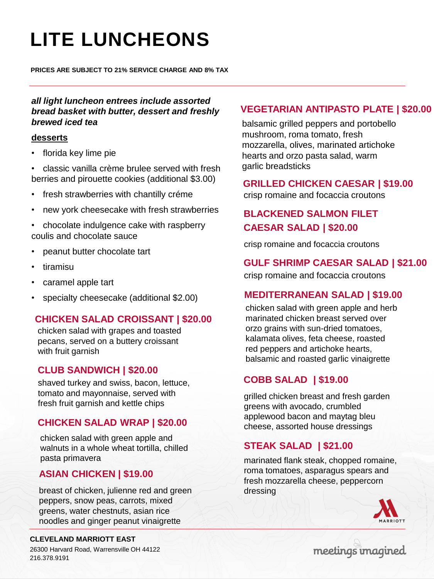# **LITE LUNCHEONS**

**PRICES ARE SUBJECT TO 21% SERVICE CHARGE AND 8% TAX**

#### *all light luncheon entrees include assorted bread basket with butter, dessert and freshly brewed iced tea*

#### **desserts**

• florida key lime pie

• classic vanilla crème brulee served with fresh berries and pirouette cookies (additional \$3.00)

- fresh strawberries with chantilly créme
- new york cheesecake with fresh strawberries

• chocolate indulgence cake with raspberry coulis and chocolate sauce

- peanut butter chocolate tart
- tiramisu
- caramel apple tart
- specialty cheesecake (additional \$2.00)

### **CHICKEN SALAD CROISSANT | \$20.00**

chicken salad with grapes and toasted pecans, served on a buttery croissant with fruit garnish

#### **CLUB SANDWICH | \$20.00**

shaved turkey and swiss, bacon, lettuce, tomato and mayonnaise, served with fresh fruit garnish and kettle chips

#### **CHICKEN SALAD WRAP | \$20.00**

chicken salad with green apple and walnuts in a whole wheat tortilla, chilled pasta primavera

### **ASIAN CHICKEN | \$19.00**

breast of chicken, julienne red and green peppers, snow peas, carrots, mixed greens, water chestnuts, asian rice noodles and ginger peanut vinaigrette

#### **CLEVELAND MARRIOTT EAST**

26300 Harvard Road, Warrensville OH 44122 216.378.9191

#### **VEGETARIAN ANTIPASTO PLATE | \$20.00**

balsamic grilled peppers and portobello mushroom, roma tomato, fresh mozzarella, olives, marinated artichoke hearts and orzo pasta salad, warm garlic breadsticks

#### **GRILLED CHICKEN CAESAR | \$19.00**

## **BLACKENED SALMON FILET CAESAR SALAD | \$20.00**

crisp romaine and focaccia croutons

crisp romaine and focaccia croutons

#### **GULF SHRIMP CAESAR SALAD | \$21.00**

crisp romaine and focaccia croutons

### **MEDITERRANEAN SALAD | \$19.00**

chicken salad with green apple and herb marinated chicken breast served over orzo grains with sun-dried tomatoes, kalamata olives, feta cheese, roasted red peppers and artichoke hearts, balsamic and roasted garlic vinaigrette

### **COBB SALAD | \$19.00**

grilled chicken breast and fresh garden greens with avocado, crumbled applewood bacon and maytag bleu cheese, assorted house dressings

### **STEAK SALAD | \$21.00**

marinated flank steak, chopped romaine, roma tomatoes, asparagus spears and fresh mozzarella cheese, peppercorn dressing

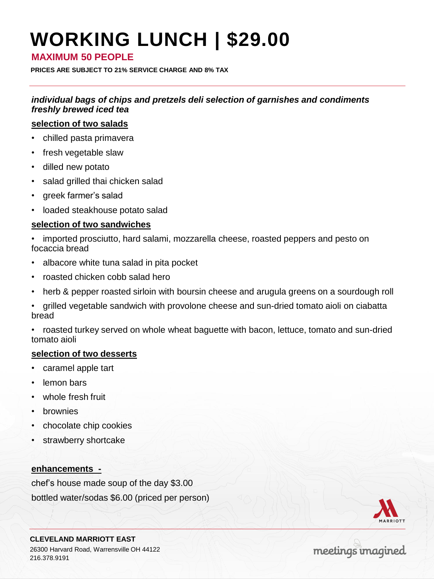# **WORKING LUNCH | \$29.00**

#### **MAXIMUM 50 PEOPLE**

**PRICES ARE SUBJECT TO 21% SERVICE CHARGE AND 8% TAX**

*individual bags of chips and pretzels deli selection of garnishes and condiments freshly brewed iced tea* 

#### **selection of two salads**

- chilled pasta primavera
- fresh vegetable slaw
- dilled new potato
- salad grilled thai chicken salad
- greek farmer's salad
- loaded steakhouse potato salad

#### **selection of two sandwiches**

• imported prosciutto, hard salami, mozzarella cheese, roasted peppers and pesto on focaccia bread

- albacore white tuna salad in pita pocket
- roasted chicken cobb salad hero
- herb & pepper roasted sirloin with boursin cheese and arugula greens on a sourdough roll
- grilled vegetable sandwich with provolone cheese and sun-dried tomato aioli on ciabatta bread

• roasted turkey served on whole wheat baguette with bacon, lettuce, tomato and sun-dried tomato aioli

#### **selection of two desserts**

- caramel apple tart
- lemon bars
- whole fresh fruit
- **brownies**
- chocolate chip cookies
- strawberry shortcake

#### **enhancements -**

chef's house made soup of the day \$3.00 bottled water/sodas \$6.00 (priced per person)



**CLEVELAND MARRIOTT EAST** 26300 Harvard Road, Warrensville OH 44122 216.378.9191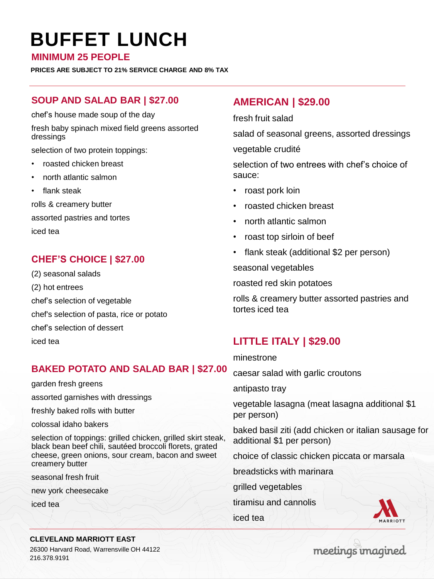## **BUFFET LUNCH**

**MINIMUM 25 PEOPLE**

**PRICES ARE SUBJECT TO 21% SERVICE CHARGE AND 8% TAX**

#### **SOUP AND SALAD BAR | \$27.00**

chef's house made soup of the day

fresh baby spinach mixed field greens assorted dressings

selection of two protein toppings:

- roasted chicken breast
- north atlantic salmon
- flank steak

rolls & creamery butter assorted pastries and tortes iced tea

## **CHEF'S CHOICE | \$27.00**

(2) seasonal salads (2) hot entrees chef's selection of vegetable chef's selection of pasta, rice or potato chef's selection of dessert iced tea

## **BAKED POTATO AND SALAD BAR | \$27.00**

garden fresh greens

assorted garnishes with dressings

freshly baked rolls with butter

colossal idaho bakers

selection of toppings: grilled chicken, grilled skirt steak, black bean beef chili, sautéed broccoli florets, grated cheese, green onions, sour cream, bacon and sweet creamery butter

seasonal fresh fruit

new york cheesecake

iced tea

## **AMERICAN | \$29.00**

fresh fruit salad

salad of seasonal greens, assorted dressings vegetable crudité

selection of two entrees with chef's choice of sauce:

- roast pork loin
- roasted chicken breast
- north atlantic salmon
- roast top sirloin of beef
- flank steak (additional \$2 per person)

seasonal vegetables

roasted red skin potatoes

rolls & creamery butter assorted pastries and tortes iced tea

## **LITTLE ITALY | \$29.00**

#### minestrone

caesar salad with garlic croutons

antipasto tray

vegetable lasagna (meat lasagna additional \$1 per person)

baked basil ziti (add chicken or italian sausage for additional \$1 per person)

choice of classic chicken piccata or marsala

breadsticks with marinara

grilled vegetables

tiramisu and cannolis

iced tea



#### **CLEVELAND MARRIOTT EAST**

26300 Harvard Road, Warrensville OH 44122 216.378.9191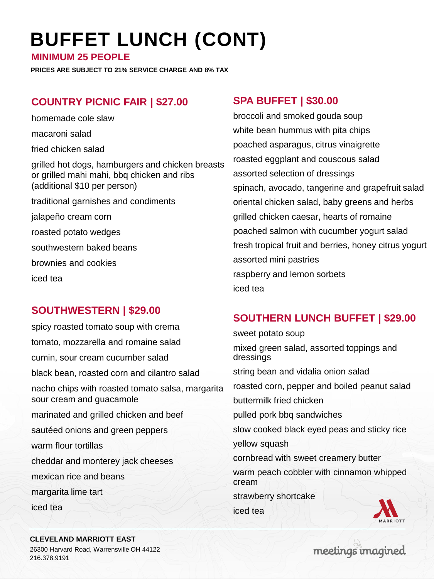# **BUFFET LUNCH (CONT)**

**MINIMUM 25 PEOPLE**

**PRICES ARE SUBJECT TO 21% SERVICE CHARGE AND 8% TAX**

## **COUNTRY PICNIC FAIR | \$27.00**

homemade cole slaw

macaroni salad

fried chicken salad

grilled hot dogs, hamburgers and chicken breasts or grilled mahi mahi, bbq chicken and ribs (additional \$10 per person) traditional garnishes and condiments jalapeño cream corn roasted potato wedges southwestern baked beans brownies and cookies

iced tea

## **SOUTHWESTERN | \$29.00**

spicy roasted tomato soup with crema tomato, mozzarella and romaine salad cumin, sour cream cucumber salad black bean, roasted corn and cilantro salad nacho chips with roasted tomato salsa, margarita sour cream and guacamole marinated and grilled chicken and beef sautéed onions and green peppers warm flour tortillas cheddar and monterey jack cheeses mexican rice and beans margarita lime tart iced tea

## **SPA BUFFET | \$30.00**

broccoli and smoked gouda soup white bean hummus with pita chips poached asparagus, citrus vinaigrette roasted eggplant and couscous salad assorted selection of dressings spinach, avocado, tangerine and grapefruit salad oriental chicken salad, baby greens and herbs grilled chicken caesar, hearts of romaine poached salmon with cucumber yogurt salad fresh tropical fruit and berries, honey citrus yogurt assorted mini pastries raspberry and lemon sorbets iced tea

## **SOUTHERN LUNCH BUFFET | \$29.00**

sweet potato soup mixed green salad, assorted toppings and dressings

string bean and vidalia onion salad

roasted corn, pepper and boiled peanut salad

buttermilk fried chicken

pulled pork bbq sandwiches

slow cooked black eyed peas and sticky rice

yellow squash

cornbread with sweet creamery butter

warm peach cobbler with cinnamon whipped cream

strawberry shortcake

iced tea



#### **CLEVELAND MARRIOTT EAST**

26300 Harvard Road, Warrensville OH 44122 216.378.9191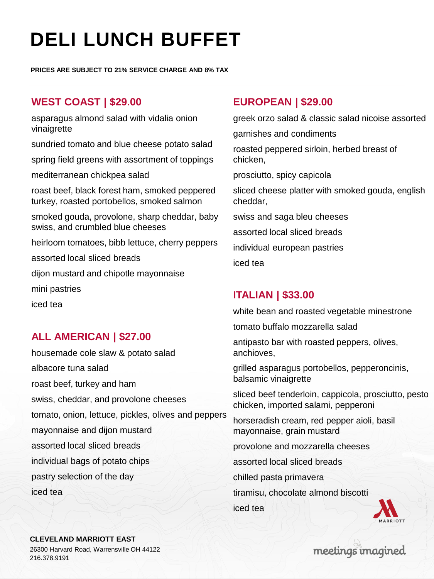# **DELI LUNCH BUFFET**

**PRICES ARE SUBJECT TO 21% SERVICE CHARGE AND 8% TAX**

## **WEST COAST | \$29.00**

asparagus almond salad with vidalia onion vinaigrette

sundried tomato and blue cheese potato salad

spring field greens with assortment of toppings

mediterranean chickpea salad

roast beef, black forest ham, smoked peppered turkey, roasted portobellos, smoked salmon

smoked gouda, provolone, sharp cheddar, baby swiss, and crumbled blue cheeses

heirloom tomatoes, bibb lettuce, cherry peppers

assorted local sliced breads

dijon mustard and chipotle mayonnaise

mini pastries

iced tea

## **ALL AMERICAN | \$27.00**

housemade cole slaw & potato salad albacore tuna salad roast beef, turkey and ham swiss, cheddar, and provolone cheeses tomato, onion, lettuce, pickles, olives and peppers mayonnaise and dijon mustard assorted local sliced breads individual bags of potato chips pastry selection of the day iced tea

### **EUROPEAN | \$29.00**

greek orzo salad & classic salad nicoise assorted

garnishes and condiments

roasted peppered sirloin, herbed breast of chicken,

prosciutto, spicy capicola

sliced cheese platter with smoked gouda, english cheddar,

swiss and saga bleu cheeses

assorted local sliced breads

individual european pastries

iced tea

### **ITALIAN | \$33.00**

white bean and roasted vegetable minestrone

tomato buffalo mozzarella salad

antipasto bar with roasted peppers, olives, anchioves,

grilled asparagus portobellos, pepperoncinis, balsamic vinaigrette

sliced beef tenderloin, cappicola, prosciutto, pesto chicken, imported salami, pepperoni

horseradish cream, red pepper aioli, basil mayonnaise, grain mustard

provolone and mozzarella cheeses

assorted local sliced breads

chilled pasta primavera

tiramisu, chocolate almond biscotti

iced tea



**CLEVELAND MARRIOTT EAST**

26300 Harvard Road, Warrensville OH 44122 216.378.9191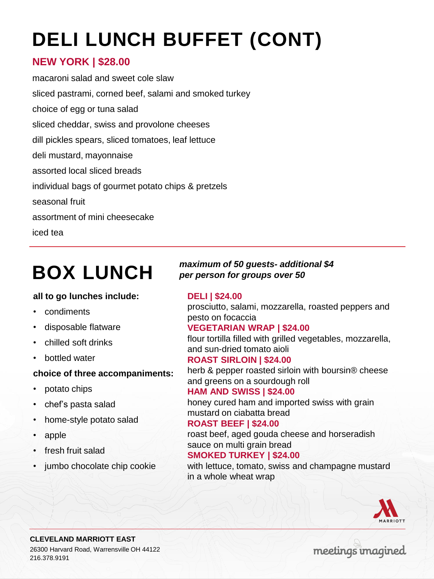# **DELI LUNCH BUFFET (CONT)**

## **NEW YORK | \$28.00**

macaroni salad and sweet cole slaw sliced pastrami, corned beef, salami and smoked turkey choice of egg or tuna salad sliced cheddar, swiss and provolone cheeses dill pickles spears, sliced tomatoes, leaf lettuce deli mustard, mayonnaise assorted local sliced breads individual bags of gourmet potato chips & pretzels seasonal fruit assortment of mini cheesecake iced tea

## **BOX LUNCH**

#### **all to go lunches include:**

- condiments
- disposable flatware
- chilled soft drinks
- bottled water

#### **choice of three accompaniments:**

- potato chips
- chef's pasta salad
- home-style potato salad
- apple
- fresh fruit salad
- jumbo chocolate chip cookie

#### *maximum of 50 guests- additional \$4 per person for groups over 50*

#### **DELI | \$24.00**

prosciutto, salami, mozzarella, roasted peppers and pesto on focaccia

#### **VEGETARIAN WRAP | \$24.00**

flour tortilla filled with grilled vegetables, mozzarella, and sun-dried tomato aioli

#### **ROAST SIRLOIN | \$24.00**

herb & pepper roasted sirloin with boursin® cheese and greens on a sourdough roll

#### **HAM AND SWISS | \$24.00**

honey cured ham and imported swiss with grain mustard on ciabatta bread

#### **ROAST BEEF | \$24.00**

roast beef, aged gouda cheese and horseradish sauce on multi grain bread

#### **SMOKED TURKEY | \$24.00**

with lettuce, tomato, swiss and champagne mustard in a whole wheat wrap

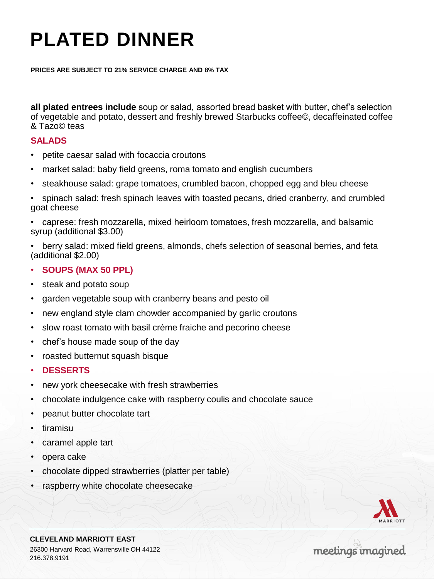# **PLATED DINNER**

**PRICES ARE SUBJECT TO 21% SERVICE CHARGE AND 8% TAX**

**all plated entrees include** soup or salad, assorted bread basket with butter, chef's selection of vegetable and potato, dessert and freshly brewed Starbucks coffee©, decaffeinated coffee & Tazo© teas

#### **SALADS**

- petite caesar salad with focaccia croutons
- market salad: baby field greens, roma tomato and english cucumbers
- steakhouse salad: grape tomatoes, crumbled bacon, chopped egg and bleu cheese
- spinach salad: fresh spinach leaves with toasted pecans, dried cranberry, and crumbled goat cheese
- caprese: fresh mozzarella, mixed heirloom tomatoes, fresh mozzarella, and balsamic syrup (additional \$3.00)
- berry salad: mixed field greens, almonds, chefs selection of seasonal berries, and feta (additional \$2.00)
- **SOUPS (MAX 50 PPL)**
- steak and potato soup
- garden vegetable soup with cranberry beans and pesto oil
- new england style clam chowder accompanied by garlic croutons
- slow roast tomato with basil crème fraiche and pecorino cheese
- chef's house made soup of the day
- roasted butternut squash bisque
- **DESSERTS**
- new york cheesecake with fresh strawberries
- chocolate indulgence cake with raspberry coulis and chocolate sauce
- peanut butter chocolate tart
- tiramisu
- caramel apple tart
- opera cake
- chocolate dipped strawberries (platter per table)
- raspberry white chocolate cheesecake



**CLEVELAND MARRIOTT EAST** 26300 Harvard Road, Warrensville OH 44122 216.378.9191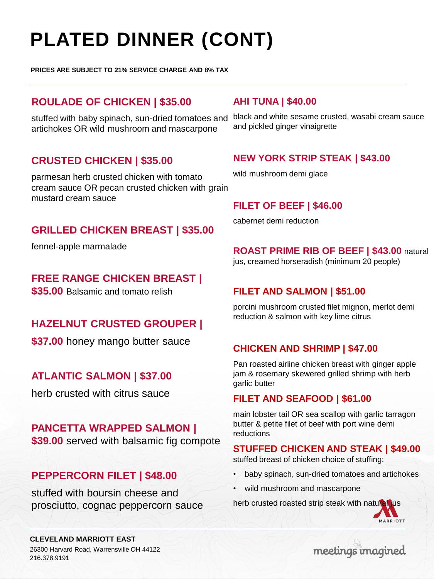# **PLATED DINNER (CONT)**

**PRICES ARE SUBJECT TO 21% SERVICE CHARGE AND 8% TAX**

## **ROULADE OF CHICKEN | \$35.00**

stuffed with baby spinach, sun-dried tomatoes and artichokes OR wild mushroom and mascarpone

## **CRUSTED CHICKEN | \$35.00**

parmesan herb crusted chicken with tomato cream sauce OR pecan crusted chicken with grain mustard cream sauce

## **GRILLED CHICKEN BREAST | \$35.00**

fennel-apple marmalade

**FREE RANGE CHICKEN BREAST |** 

**\$35.00** Balsamic and tomato relish

## **HAZELNUT CRUSTED GROUPER |**

**\$37.00** honey mango butter sauce

## **ATLANTIC SALMON | \$37.00**

herb crusted with citrus sauce

### **PANCETTA WRAPPED SALMON |**

**\$39.00** served with balsamic fig compote

## **PEPPERCORN FILET | \$48.00**

stuffed with boursin cheese and prosciutto, cognac peppercorn sauce

#### **AHI TUNA | \$40.00**

black and white sesame crusted, wasabi cream sauce and pickled ginger vinaigrette

### **NEW YORK STRIP STEAK | \$43.00**

wild mushroom demi glace

### **FILET OF BEEF | \$46.00**

cabernet demi reduction

#### **ROAST PRIME RIB OF BEEF | \$43.00** natural

jus, creamed horseradish (minimum 20 people)

### **FILET AND SALMON | \$51.00**

porcini mushroom crusted filet mignon, merlot demi reduction & salmon with key lime citrus

### **CHICKEN AND SHRIMP | \$47.00**

Pan roasted airline chicken breast with ginger apple jam & rosemary skewered grilled shrimp with herb garlic butter

#### **FILET AND SEAFOOD | \$61.00**

main lobster tail OR sea scallop with garlic tarragon butter & petite filet of beef with port wine demi reductions

### **STUFFED CHICKEN AND STEAK | \$49.00**

stuffed breast of chicken choice of stuffing:

- baby spinach, sun-dried tomatoes and artichokes
- wild mushroom and mascarpone

herb crusted roasted strip steak with natural jus



#### **CLEVELAND MARRIOTT EAST**

26300 Harvard Road, Warrensville OH 44122 216.378.9191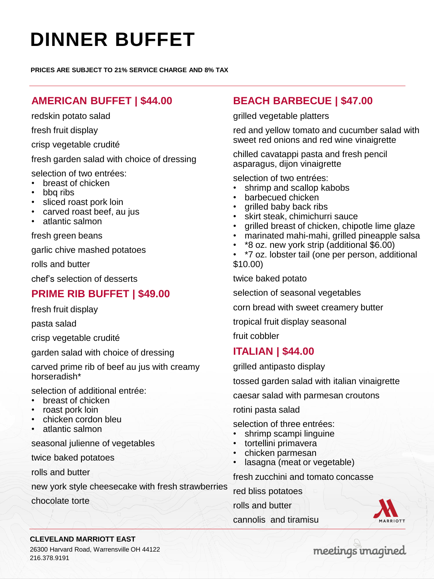# **DINNER BUFFET**

**PRICES ARE SUBJECT TO 21% SERVICE CHARGE AND 8% TAX**

## **AMERICAN BUFFET | \$44.00**

redskin potato salad

fresh fruit display

crisp vegetable crudité

fresh garden salad with choice of dressing

selection of two entrées:

- breast of chicken
- bbq ribs
- sliced roast pork loin
- carved roast beef, au jus
- atlantic salmon

fresh green beans

garlic chive mashed potatoes

rolls and butter

chef's selection of desserts

## **PRIME RIB BUFFET | \$49.00**

fresh fruit display

pasta salad

crisp vegetable crudité

garden salad with choice of dressing

carved prime rib of beef au jus with creamy horseradish\*

selection of additional entrée:

- breast of chicken
- roast pork loin
- chicken cordon bleu
- atlantic salmon

seasonal julienne of vegetables

twice baked potatoes

rolls and butter

new york style cheesecake with fresh strawberries

chocolate torte

## **BEACH BARBECUE | \$47.00**

grilled vegetable platters

red and yellow tomato and cucumber salad with sweet red onions and red wine vinaigrette

chilled cavatappi pasta and fresh pencil asparagus, dijon vinaigrette

selection of two entrées:

- shrimp and scallop kabobs
- barbecued chicken
- grilled baby back ribs
- skirt steak, chimichurri sauce
- grilled breast of chicken, chipotle lime glaze
- marinated mahi-mahi, grilled pineapple salsa
- \*8 oz. new york strip (additional \$6.00)
- \*7 oz. lobster tail (one per person, additional \$10.00)

twice baked potato

selection of seasonal vegetables

corn bread with sweet creamery butter

tropical fruit display seasonal

fruit cobbler

### **ITALIAN | \$44.00**

grilled antipasto display

tossed garden salad with italian vinaigrette

caesar salad with parmesan croutons

rotini pasta salad

selection of three entrées:

- shrimp scampi linguine
- tortellini primavera
- chicken parmesan
- lasagna (meat or vegetable)

fresh zucchini and tomato concasse

red bliss potatoes

rolls and butter

cannolis and tiramisu



#### **CLEVELAND MARRIOTT EAST**

26300 Harvard Road, Warrensville OH 44122 216.378.9191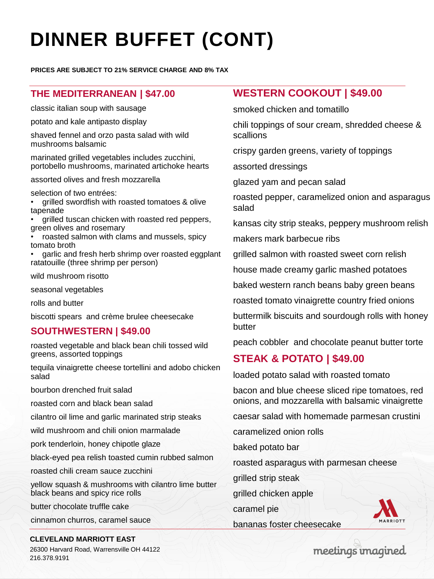# **DINNER BUFFET (CONT)**

**PRICES ARE SUBJECT TO 21% SERVICE CHARGE AND 8% TAX**

#### **THE MEDITERRANEAN | \$47.00**

classic italian soup with sausage

potato and kale antipasto display

shaved fennel and orzo pasta salad with wild mushrooms balsamic

marinated grilled vegetables includes zucchini, portobello mushrooms, marinated artichoke hearts

assorted olives and fresh mozzarella

selection of two entrées:

• grilled swordfish with roasted tomatoes & olive tapenade

• grilled tuscan chicken with roasted red peppers, green olives and rosemary

• roasted salmon with clams and mussels, spicy tomato broth

• garlic and fresh herb shrimp over roasted eggplant ratatouille (three shrimp per person)

wild mushroom risotto

seasonal vegetables

rolls and butter

biscotti spears and crème brulee cheesecake

#### **SOUTHWESTERN | \$49.00**

roasted vegetable and black bean chili tossed wild greens, assorted toppings

tequila vinaigrette cheese tortellini and adobo chicken salad

bourbon drenched fruit salad

roasted corn and black bean salad

cilantro oil lime and garlic marinated strip steaks

wild mushroom and chili onion marmalade

pork tenderloin, honey chipotle glaze

black-eyed pea relish toasted cumin rubbed salmon

roasted chili cream sauce zucchini

yellow squash & mushrooms with cilantro lime butter black beans and spicy rice rolls

butter chocolate truffle cake

cinnamon churros, caramel sauce

#### **CLEVELAND MARRIOTT EAST**

26300 Harvard Road, Warrensville OH 44122 216.378.9191

### **WESTERN COOKOUT | \$49.00**

smoked chicken and tomatillo

chili toppings of sour cream, shredded cheese & scallions

crispy garden greens, variety of toppings

assorted dressings

glazed yam and pecan salad

roasted pepper, caramelized onion and asparagus salad

kansas city strip steaks, peppery mushroom relish

makers mark barbecue ribs

grilled salmon with roasted sweet corn relish

house made creamy garlic mashed potatoes

baked western ranch beans baby green beans

roasted tomato vinaigrette country fried onions

buttermilk biscuits and sourdough rolls with honey butter

peach cobbler and chocolate peanut butter torte

### **STEAK & POTATO | \$49.00**

loaded potato salad with roasted tomato

bacon and blue cheese sliced ripe tomatoes, red onions, and mozzarella with balsamic vinaigrette

caesar salad with homemade parmesan crustini

caramelized onion rolls

baked potato bar

roasted asparagus with parmesan cheese

grilled strip steak

grilled chicken apple

caramel pie

bananas foster cheesecake